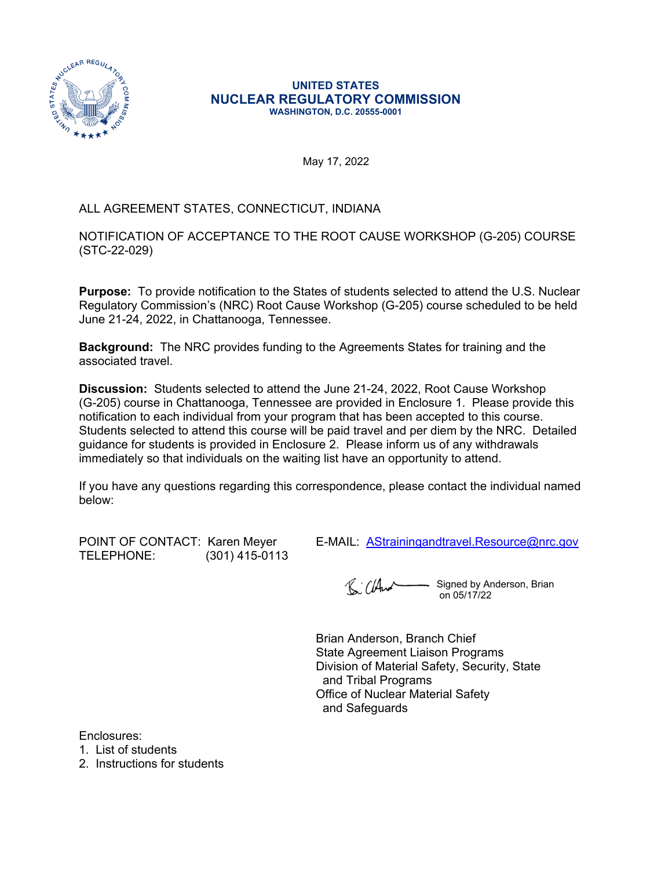

#### **UNITED STATES NUCLEAR REGULATORY COMMISSION WASHINGTON, D.C. 20555-0001**

May 17, 2022

# ALL AGREEMENT STATES, CONNECTICUT, INDIANA

NOTIFICATION OF ACCEPTANCE TO THE ROOT CAUSE WORKSHOP (G-205) COURSE (STC-22-029)

**Purpose:** To provide notification to the States of students selected to attend the U.S. Nuclear Regulatory Commission's (NRC) Root Cause Workshop (G-205) course scheduled to be held June 21-24, 2022, in Chattanooga, Tennessee.

**Background:** The NRC provides funding to the Agreements States for training and the associated travel.

**Discussion:** Students selected to attend the June 21-24, 2022, Root Cause Workshop (G-205) course in Chattanooga, Tennessee are provided in Enclosure 1. Please provide this notification to each individual from your program that has been accepted to this course. Students selected to attend this course will be paid travel and per diem by the NRC. Detailed guidance for students is provided in Enclosure 2. Please inform us of any withdrawals immediately so that individuals on the waiting list have an opportunity to attend.

If you have any questions regarding this correspondence, please contact the individual named below:

POINT OF CONTACT: Karen Meyer E-MAIL: [AStrainingandtravel.Resource@nrc.gov](mailto:AStrainingandtravel.Resource@nrc.gov)<br>TELEPHONE: (301)415-0113 (301) 415-0113

Signed by Anderson, Brian R: ClAnd  $\frac{0.05}{12}$ 

Brian Anderson, Branch Chief State Agreement Liaison Programs Division of Material Safety, Security, State and Tribal Programs Office of Nuclear Material Safety and Safeguards

Enclosures:

1. List of students

2. Instructions for students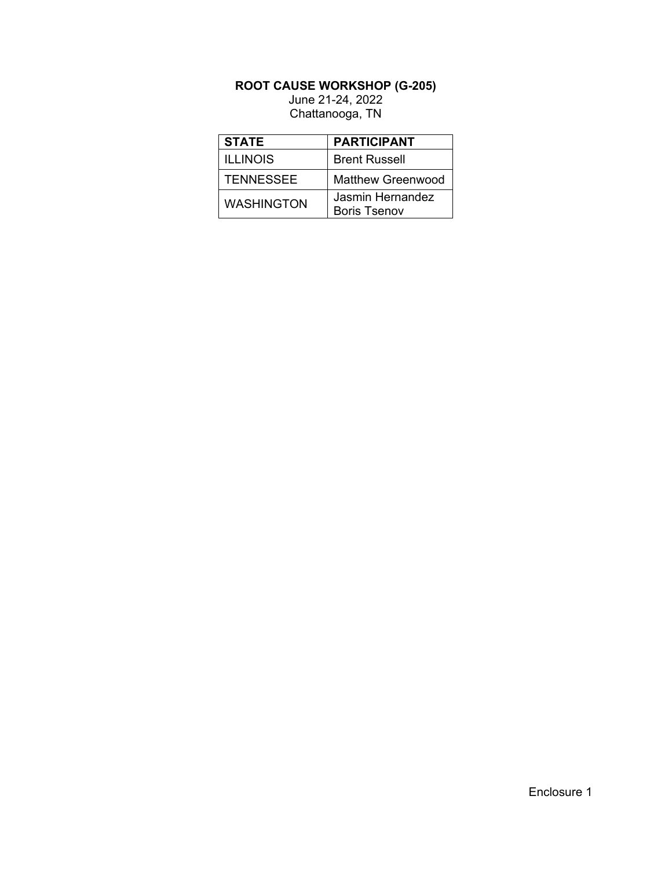# **ROOT CAUSE WORKSHOP (G-205)**

June 21-24, 2022 Chattanooga, TN

| <b>STATE</b>      | <b>PARTICIPANT</b>                      |  |  |
|-------------------|-----------------------------------------|--|--|
| <b>ILLINOIS</b>   | <b>Brent Russell</b>                    |  |  |
| <b>TENNESSEE</b>  | <b>Matthew Greenwood</b>                |  |  |
| <b>WASHINGTON</b> | Jasmin Hernandez<br><b>Boris Tsenov</b> |  |  |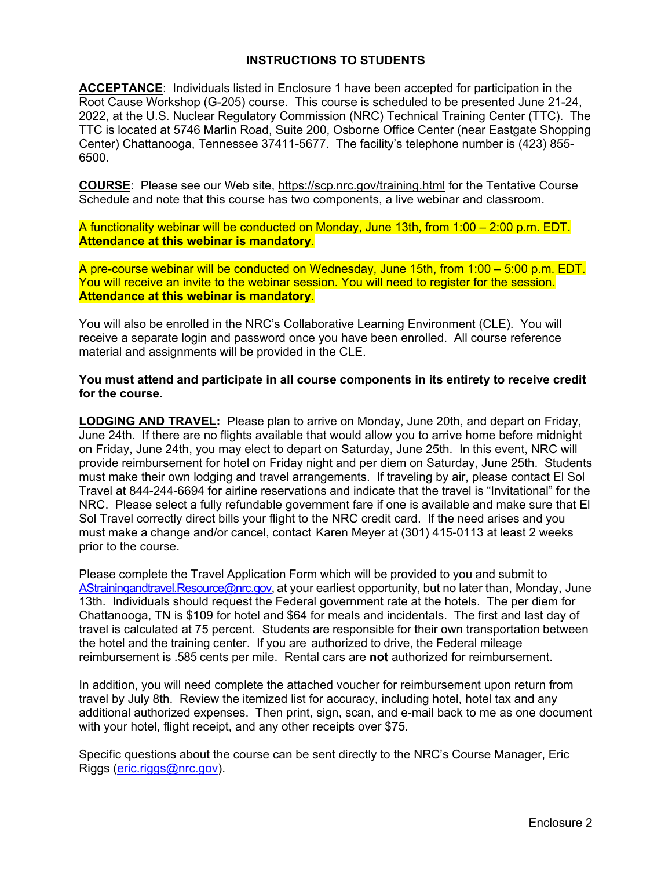### **INSTRUCTIONS TO STUDENTS**

**ACCEPTANCE**: Individuals listed in Enclosure 1 have been accepted for participation in the Root Cause Workshop (G-205) course. This course is scheduled to be presented June 21-24, 2022, at the U.S. Nuclear Regulatory Commission (NRC) Technical Training Center (TTC). The TTC is located at 5746 Marlin Road, Suite 200, Osborne Office Center (near Eastgate Shopping Center) Chattanooga, Tennessee 37411-5677. The facility's telephone number is (423) 855- 6500.

**COURSE**: Please see our Web site, <https://scp.nrc.gov/training.html>for the Tentative Course Schedule and note that this course has two components, a live webinar and classroom.

A functionality webinar will be conducted on Monday, June 13th, from 1:00 – 2:00 p.m. EDT. **Attendance at this webinar is mandatory**.

A pre-course webinar will be conducted on Wednesday, June 15th, from 1:00 – 5:00 p.m. EDT. You will receive an invite to the webinar session. You will need to register for the session. **Attendance at this webinar is mandatory**.

You will also be enrolled in the NRC's Collaborative Learning Environment (CLE). You will receive a separate login and password once you have been enrolled. All course reference material and assignments will be provided in the CLE.

**You must attend and participate in all course components in its entirety to receive credit for the course.**

**LODGING AND TRAVEL:** Please plan to arrive on Monday, June 20th, and depart on Friday, June 24th. If there are no flights available that would allow you to arrive home before midnight on Friday, June 24th, you may elect to depart on Saturday, June 25th. In this event, NRC will provide reimbursement for hotel on Friday night and per diem on Saturday, June 25th. Students must make their own lodging and travel arrangements. If traveling by air, please contact El Sol Travel at 844-244-6694 for airline reservations and indicate that the travel is "Invitational" for the NRC. Please select a fully refundable government fare if one is available and make sure that El Sol Travel correctly direct bills your flight to the NRC credit card. If the need arises and you must make a change and/or cancel, contact Karen Meyer at (301) 415-0113 at least 2 weeks prior to the course.

Please complete the Travel Application Form which will be provided to you and submit to [AStrainingandtravel.Resource@nrc.gov](mailto:AStrainingandtravel.Resource@nrc.gov), at your earliest opportunity, but no later than, Monday, June 13th. Individuals should request the Federal government rate at the hotels. The per diem for Chattanooga, TN is \$109 for hotel and \$64 for meals and incidentals. The first and last day of travel is calculated at 75 percent. Students are responsible for their own transportation between the hotel and the training center. If you are authorized to drive, the Federal mileage reimbursement is .585 cents per mile. Rental cars are **not** authorized for reimbursement.

In addition, you will need complete the attached voucher for reimbursement upon return from travel by July 8th. Review the itemized list for accuracy, including hotel, hotel tax and any additional authorized expenses. Then print, sign, scan, and e-mail back to me as one document with your hotel, flight receipt, and any other receipts over \$75.

Specific questions about the course can be sent directly to the NRC's Course Manager, Eric Riggs ([eric.riggs@nrc.gov\)](mailto:eric.riggs@nrc.gov).